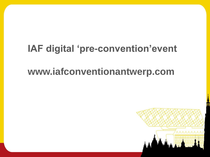# **IAF digital 'pre-convention'event**

## **www.iafconventionantwerp.com**

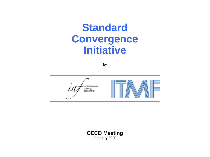# **Standard Convergence Initiative**

by



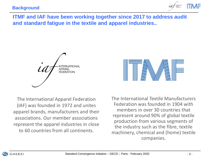

**ITMF and IAF have been working together since 2017 to address audit and standard fatigue in the textile and apparel industries..** 

**APPARFL FEDERATION** 

The International Apparel Federation (IAF) was founded in 1972 and unites apparel brands, manufacturers and their associations. Our member associations represent the apparel industries in close to 60 countries from all continents.

The International Textile Manufacturers Federation was founded in 1904 with members in over 30 countries that represent around 90% of global textile production from various segments of the industry such as the fibre, textile machinery, chemical and (home) textile companies.

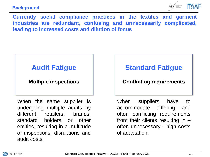#### **Background**



**Currently social compliance practices in the textiles and garment industries are redundant, confusing and unnecessarily complicated, leading to increased costs and dilution of focus**

## **Audit Fatigue**

### **Multiple inspections**

When the same supplier is undergoing multiple audits by different retailers, brands, standard holders or other entities, resulting in a multitude of inspections, disruptions and audit costs.

## **Standard Fatigue**

### **Conflicting requirements**

When suppliers have to accommodate differing and often conflicting requirements from their clients resulting in  $$ often unnecessary - high costs of adaptation.

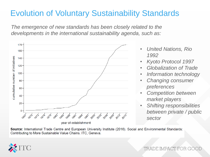## Evolution of Voluntary Sustainability Standards

*The emergence of new standards has been closely related to the developments in the international sustainability agenda, such as:*



- *United Nations, Rio 1992*
- *Kyoto Protocol 1997*
- *Globalization of Trade*
- *Information technology*
- *Changing consumer preferences*
- *Competition between market players*
- *Shifting responsibilities between private / public sector*

Source: International Trade Centre and European University Institute (2016). Social and Environmental Standards: Contributing to More Sustainable Value Chains. ITC, Geneva.



TRADE IMPACT FOR G(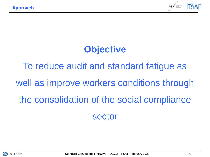

## **Objective**

To reduce audit and standard fatigue as well as improve workers conditions through the consolidation of the social compliance sector

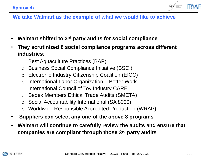

### **We take Walmart as the example of what we would like to achieve**

- **Walmart shifted to 3rd party audits for social compliance**
- **They scrutinized 8 social compliance programs across different industries**:
	- o Best Aquaculture Practices (BAP)
	- o Business Social Compliance Initiative (BSCI)
	- o Electronic Industry Citizenship Coalition (EICC)
	- $\circ$  International Labor Organization Better Work
	- o International Council of Toy Industry CARE
	- o Sedex Members Ethical Trade Audits (SMETA)
	- o Social Accountability International (SA 8000)
	- o Worldwide Responsible Accredited Production (WRAP)
- **Suppliers can select any one of the above 8 programs**
- **Walmart will continue to carefully review the audits and ensure that companies are compliant through those 3rd party audits**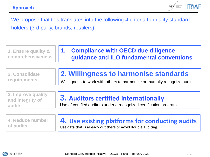

We propose that this translates into the following 4 criteria to qualify standard holders (3rd party, brands, retailers)

| 1. Ensure quality &                                     | 1. Compliance with OECD due diligence                                                                              |
|---------------------------------------------------------|--------------------------------------------------------------------------------------------------------------------|
| comprehensiveness                                       | guidance and ILO fundamental conventions                                                                           |
| 2. Consolidate                                          | 2. Willingness to harmonise standards                                                                              |
| <b>requirements</b>                                     | Willingness to work with others to harmonize or mutually recognize audits                                          |
| 3. Improve quality<br>and integrity of<br><b>audits</b> | <b>3. Auditors certified internationally</b><br>Use of certified auditors under a recognized certification program |
| 4. Reduce number                                        | 4. Use existing platforms for conducting audits                                                                    |
| of audits                                               | Use data that is already out there to avoid double auditing.                                                       |

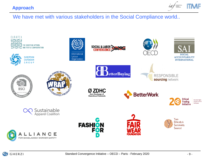#### **Approach**



We have met with various stakeholders in the Social Compliance world..

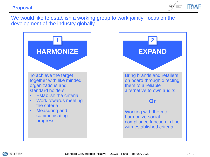**Proposal**



We would like to establish a working group to work jointly focus on the development of the industry globally